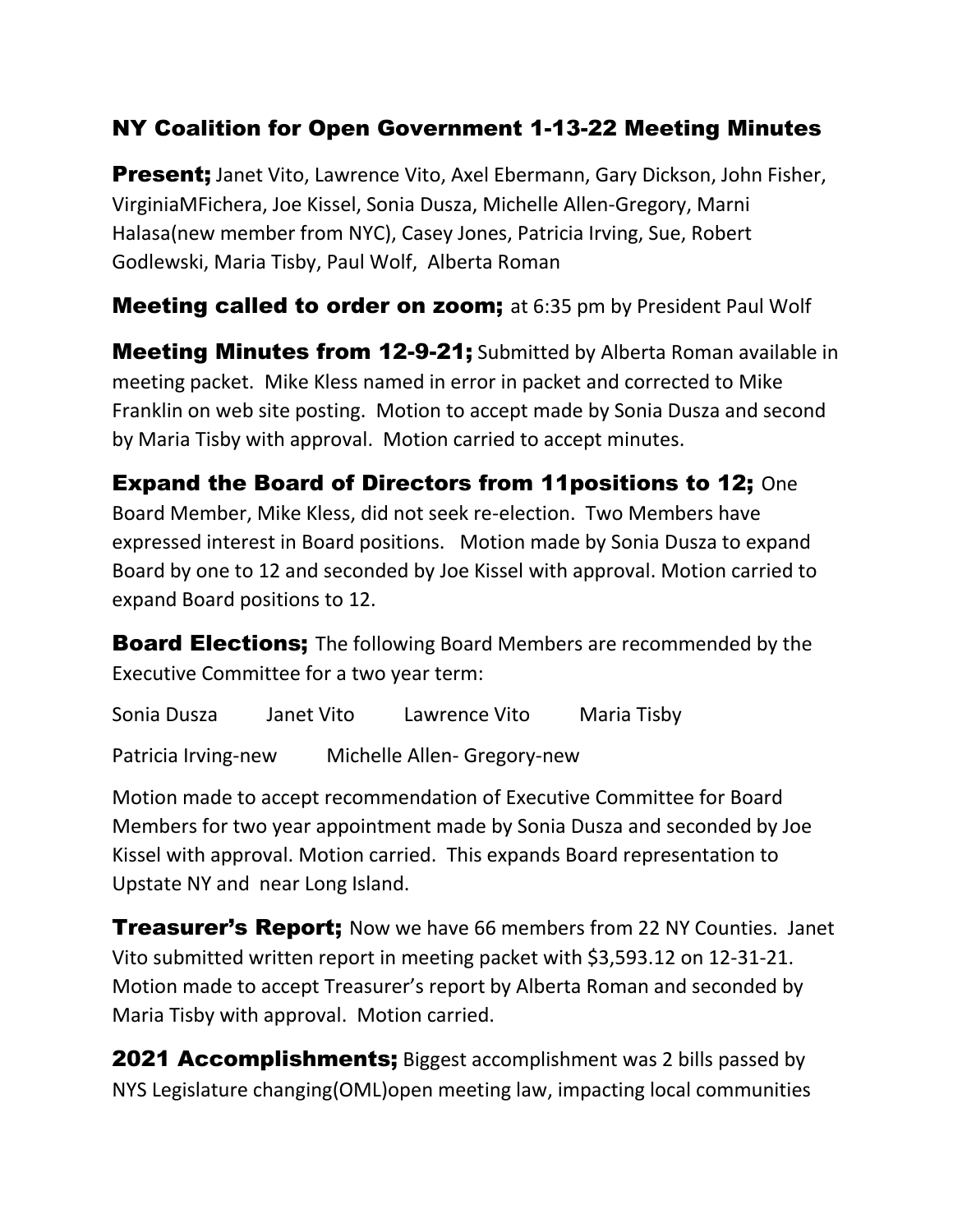## NY Coalition for Open Government 1-13-22 Meeting Minutes

**Present;** Janet Vito, Lawrence Vito, Axel Ebermann, Gary Dickson, John Fisher, VirginiaMFichera, Joe Kissel, Sonia Dusza, Michelle Allen-Gregory, Marni Halasa(new member from NYC), Casey Jones, Patricia Irving, Sue, Robert Godlewski, Maria Tisby, Paul Wolf, Alberta Roman

**Meeting called to order on zoom;** at 6:35 pm by President Paul Wolf

Meeting Minutes from 12-9-21; Submitted by Alberta Roman available in meeting packet. Mike Kless named in error in packet and corrected to Mike Franklin on web site posting. Motion to accept made by Sonia Dusza and second by Maria Tisby with approval. Motion carried to accept minutes.

Expand the Board of Directors from 11positions to 12; One Board Member, Mike Kless, did not seek re-election. Two Members have expressed interest in Board positions. Motion made by Sonia Dusza to expand Board by one to 12 and seconded by Joe Kissel with approval. Motion carried to expand Board positions to 12.

**Board Elections:** The following Board Members are recommended by the Executive Committee for a two year term:

Sonia Dusza Janet Vito Lawrence Vito Maria Tisby Patricia Irving-new Michelle Allen- Gregory-new

Motion made to accept recommendation of Executive Committee for Board Members for two year appointment made by Sonia Dusza and seconded by Joe Kissel with approval. Motion carried. This expands Board representation to Upstate NY and near Long Island.

**Treasurer's Report;** Now we have 66 members from 22 NY Counties. Janet Vito submitted written report in meeting packet with \$3,593.12 on 12-31-21. Motion made to accept Treasurer's report by Alberta Roman and seconded by Maria Tisby with approval. Motion carried.

**2021 Accomplishments;** Biggest accomplishment was 2 bills passed by NYS Legislature changing(OML)open meeting law, impacting local communities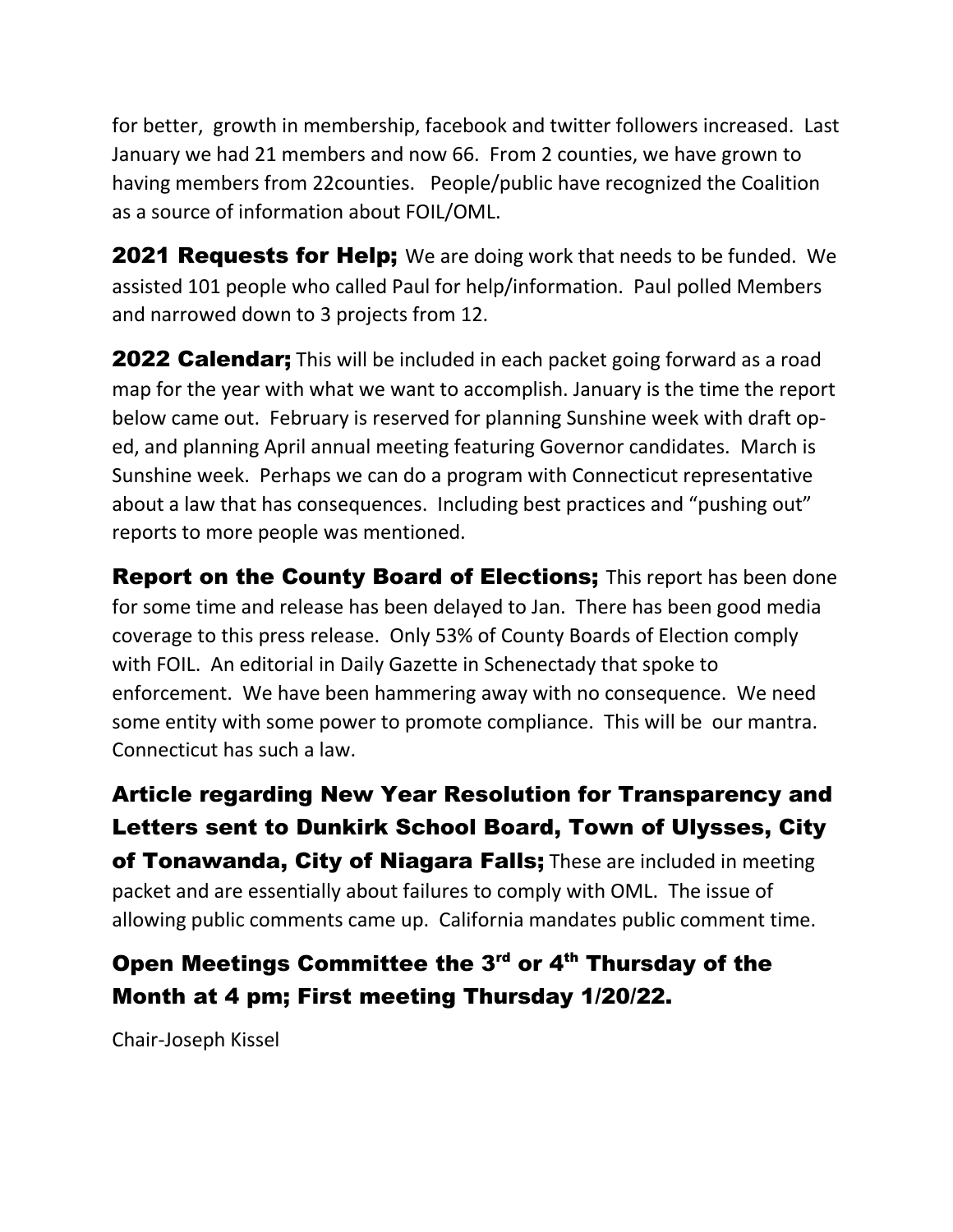for better, growth in membership, facebook and twitter followers increased. Last January we had 21 members and now 66. From 2 counties, we have grown to having members from 22counties. People/public have recognized the Coalition as a source of information about FOIL/OML.

**2021 Requests for Help;** We are doing work that needs to be funded. We assisted 101 people who called Paul for help/information. Paul polled Members and narrowed down to 3 projects from 12.

**2022 Calendar;** This will be included in each packet going forward as a road map for the year with what we want to accomplish. January is the time the report below came out. February is reserved for planning Sunshine week with draft oped, and planning April annual meeting featuring Governor candidates. March is Sunshine week. Perhaps we can do a program with Connecticut representative about a law that has consequences. Including best practices and "pushing out" reports to more people was mentioned.

**Report on the County Board of Elections;** This report has been done for some time and release has been delayed to Jan. There has been good media coverage to this press release. Only 53% of County Boards of Election comply with FOIL. An editorial in Daily Gazette in Schenectady that spoke to enforcement. We have been hammering away with no consequence. We need some entity with some power to promote compliance. This will be our mantra. Connecticut has such a law.

Article regarding New Year Resolution for Transparency and Letters sent to Dunkirk School Board, Town of Ulysses, City of Tonawanda, City of Niagara Falls; These are included in meeting packet and are essentially about failures to comply with OML. The issue of allowing public comments came up. California mandates public comment time.

## Open Meetings Committee the 3<sup>rd</sup> or 4<sup>th</sup> Thursday of the Month at 4 pm; First meeting Thursday 1/20/22.

Chair-Joseph Kissel